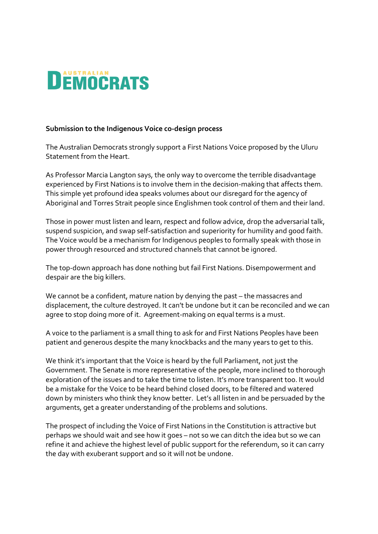

## **Submission to the Indigenous Voice co-design process**

The Australian Democrats strongly support a First Nations Voice proposed by the Uluru Statement from the Heart.

As Professor Marcia Langton says, the only way to overcome the terrible disadvantage experienced by First Nations is to involve them in the decision-making that affects them. This simple yet profound idea speaks volumes about our disregard for the agency of Aboriginal and Torres Strait people since Englishmen took control of them and their land.

Those in power must listen and learn, respect and follow advice, drop the adversarial talk, suspend suspicion, and swap self-satisfaction and superiority for humility and good faith. The Voice would be a mechanism for Indigenous peoples to formally speak with those in power through resourced and structured channels that cannot be ignored.

The top-down approach has done nothing but fail First Nations. Disempowerment and despair are the big killers.

We cannot be a confident, mature nation by denying the past – the massacres and displacement, the culture destroyed. It can't be undone but it can be reconciled and we can agree to stop doing more of it. Agreement-making on equal terms is a must.

A voice to the parliament is a small thing to ask for and First Nations Peoples have been patient and generous despite the many knockbacks and the many years to get to this.

We think it's important that the Voice is heard by the full Parliament, not just the Government. The Senate is more representative of the people, more inclined to thorough exploration of the issues and to take the time to listen. It's more transparent too. It would be a mistake for the Voice to be heard behind closed doors, to be filtered and watered down by ministers who think they know better. Let's all listen in and be persuaded by the arguments, get a greater understanding of the problems and solutions.

The prospect of including the Voice of First Nations in the Constitution is attractive but perhaps we should wait and see how it goes – not so we can ditch the idea but so we can refine it and achieve the highest level of public support for the referendum, so it can carry the day with exuberant support and so it will not be undone.